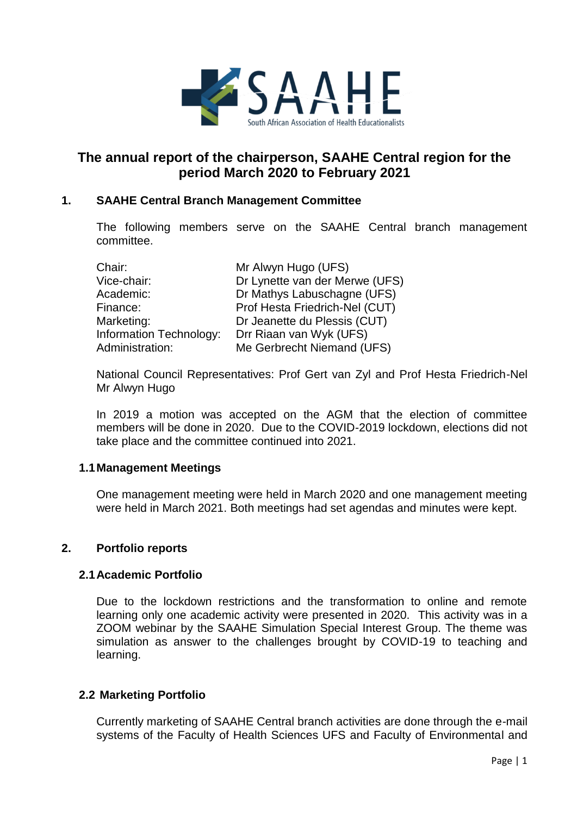

# **The annual report of the chairperson, SAAHE Central region for the period March 2020 to February 2021**

## **1. SAAHE Central Branch Management Committee**

The following members serve on the SAAHE Central branch management committee.

| Chair:                         | Mr Alwyn Hugo (UFS)            |
|--------------------------------|--------------------------------|
| Vice-chair:                    | Dr Lynette van der Merwe (UFS) |
| Academic:                      | Dr Mathys Labuschagne (UFS)    |
| Finance:                       | Prof Hesta Friedrich-Nel (CUT) |
| Marketing:                     | Dr Jeanette du Plessis (CUT)   |
| <b>Information Technology:</b> | Drr Riaan van Wyk (UFS)        |
| Administration:                | Me Gerbrecht Niemand (UFS)     |

National Council Representatives: Prof Gert van Zyl and Prof Hesta Friedrich-Nel Mr Alwyn Hugo

In 2019 a motion was accepted on the AGM that the election of committee members will be done in 2020. Due to the COVID-2019 lockdown, elections did not take place and the committee continued into 2021.

#### **1.1Management Meetings**

One management meeting were held in March 2020 and one management meeting were held in March 2021. Both meetings had set agendas and minutes were kept.

### **2. Portfolio reports**

#### **2.1Academic Portfolio**

Due to the lockdown restrictions and the transformation to online and remote learning only one academic activity were presented in 2020. This activity was in a ZOOM webinar by the SAAHE Simulation Special Interest Group. The theme was simulation as answer to the challenges brought by COVID-19 to teaching and learning.

#### **2.2 Marketing Portfolio**

Currently marketing of SAAHE Central branch activities are done through the e-mail systems of the Faculty of Health Sciences UFS and Faculty of Environmental and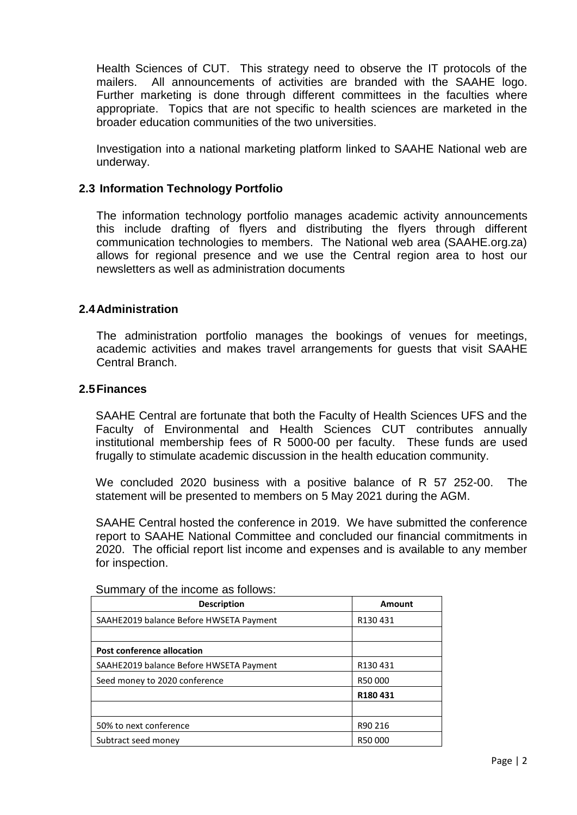Health Sciences of CUT. This strategy need to observe the IT protocols of the mailers. All announcements of activities are branded with the SAAHE logo. Further marketing is done through different committees in the faculties where appropriate. Topics that are not specific to health sciences are marketed in the broader education communities of the two universities.

Investigation into a national marketing platform linked to SAAHE National web are underway.

### **2.3 Information Technology Portfolio**

The information technology portfolio manages academic activity announcements this include drafting of flyers and distributing the flyers through different communication technologies to members. The National web area (SAAHE.org.za) allows for regional presence and we use the Central region area to host our newsletters as well as administration documents

#### **2.4Administration**

The administration portfolio manages the bookings of venues for meetings, academic activities and makes travel arrangements for guests that visit SAAHE Central Branch.

#### **2.5Finances**

SAAHE Central are fortunate that both the Faculty of Health Sciences UFS and the Faculty of Environmental and Health Sciences CUT contributes annually institutional membership fees of R 5000-00 per faculty. These funds are used frugally to stimulate academic discussion in the health education community.

We concluded 2020 business with a positive balance of R 57 252-00. The statement will be presented to members on 5 May 2021 during the AGM.

SAAHE Central hosted the conference in 2019. We have submitted the conference report to SAAHE National Committee and concluded our financial commitments in 2020. The official report list income and expenses and is available to any member for inspection.

| <b>Description</b>                      | Amount  |  |
|-----------------------------------------|---------|--|
| SAAHE2019 balance Before HWSETA Payment | R130431 |  |
|                                         |         |  |
| Post conference allocation              |         |  |
| SAAHE2019 balance Before HWSETA Payment | R130431 |  |
| Seed money to 2020 conference           | R50000  |  |
|                                         | R180431 |  |
|                                         |         |  |
| 50% to next conference                  | R90 216 |  |
| Subtract seed money                     | R50000  |  |

Summary of the income as follows: